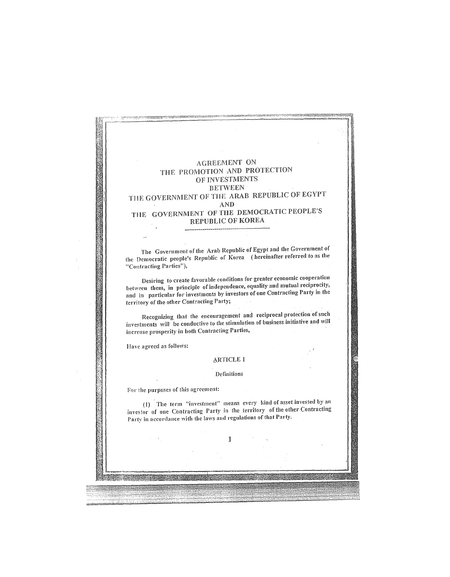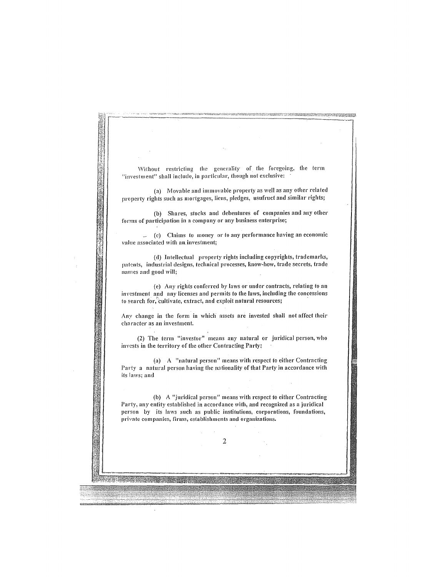Without restricting the generality of the foregoing, the term "investment" shall include, in particular, though not exclusive: (a) Movable and immovable property as well as any other related property rights such as mortgages, liens, pledges, usufrnct and similar rights; (b) Shares, stocks and debentures of companies and any other forms of participation in a company or any business enterprise; (c) Claims to money or to any performance having an economic value associated with an.investment; (d) Intellectual property rights including copyrights, trademarks, patents, industrial designs, technical processes, know-how, trade secrets, trade namcs and good wiII; (e) Any rights conferred by laws or under contracts, relating to an investment and any licenses and permits to the laws, including the concessions to search for, cultivate, extract, and exploit natural resources; Any change in the form in which assets are invested shall not affect their character as an investment. (2) The term "investor" means any nntural or juridical person, who invests in the territory of the other Contracting Party: (a)  $A$  "natural person" means with respect to either Contracting Party a natural person having the nationality of that Party in accordance with its laws; and (b) A "juridical person" means with respect to either Contracting Party, any entity established in accordance with, and recognized as a juridical person by its laws such as public institutions, corporations, foundations, private companies, firms, establishments and organizations. 2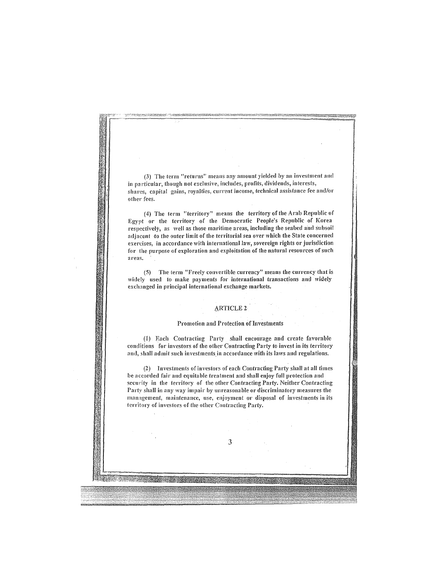(3) The term "returns" means any amount yielded by an investment and in particular, though not exclusive, includes, profits, dividends, interests, shares, capital gains, royalties, current income, technical assistance fee and/or other fees.

(4) The term "territory" means the territory of the Arab Republic of Egypt or the territory of the Democratic People's Republic of Korea respectively, as well as those maritime areas, including the seabed and subsoil adjacent to the outer limit of the territorial sea over which the State concerned exercises, in accordance with international law, sovereign rights or jurisdiction for the purpose of exploration and exploitation of the natural resources of such **areas.** 

(5) The term "Freely convertible currency" means the currency that is widely used to make payments for international transactions and widely exchanged in principal international exchange markets.

#### **ARTICLE 2**

#### Promotion and Protection of Investments

(1) Each Contracting Party shall encourage and create favorable conditions for investors of the other Contracting Party to invest in its territory and, shall admit such investments in accordance with its laws and regulations.

(2) Investments of investors of each Contracting Party shall at all times be accorded fair and equitable treatment and shall enjoy full protection and security in the territory of the other Contracting Party. Neither Contracting Party shall in any way impair by unreasonable or discriminatory measures the management, maintenance, use, enjoyment or disposal of investments in its territory of investors of the other Contracting Party.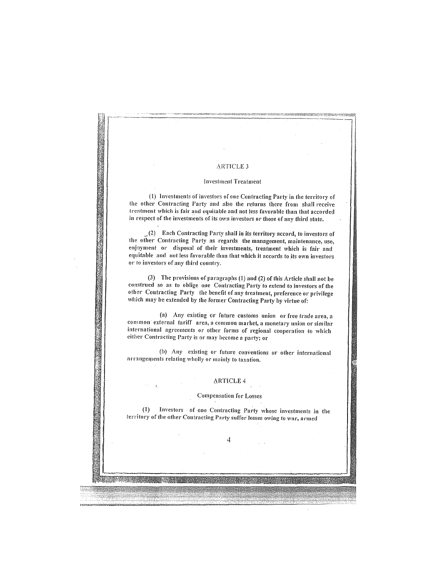# **President Professor ARTICLE 3 Investment Treatment** (1) Investments of investors of one Contracting Party in the territory of the other Contracting Party and also the returns ihere from shall receive treatment which is fair and equitable and not less favorable than that accorded in respcct of the investments of its own investors or those of any third state.  $(2)$  Each Contracting Party shall in its territory accord, to investors of the other Contracting Party as regards the management, maintenance, use, enjoyment or disposal of their investments, treatment which is fair and equitable and not less favorable than that which it accords to its own investors or to investors of any third country. (3) The provisions of paragraphs  $(1)$  and  $(2)$  of this Article shall not be construed so as to oblige one Contracting Party to extend to investors of the other Contracting Party the benefit of any treatment, preference or privilege which may be extended by the former Contracting Party by virtue of: (a) Any existing or future customs union or free trade area, a common external tariff area, a common market, a monetary union or similar international agreements or other forms of regional cooperation to which either Contracting Party is or may hecome a party; or (b) Any existing or future conventions or other international arrangements relating wholly or mainly to taxation. ARTICLE 4 Compensation for Losses (1) Investors of one Contracting Party whose investments in the territory of the other Contracting Party suffer losses owing to war, armed 4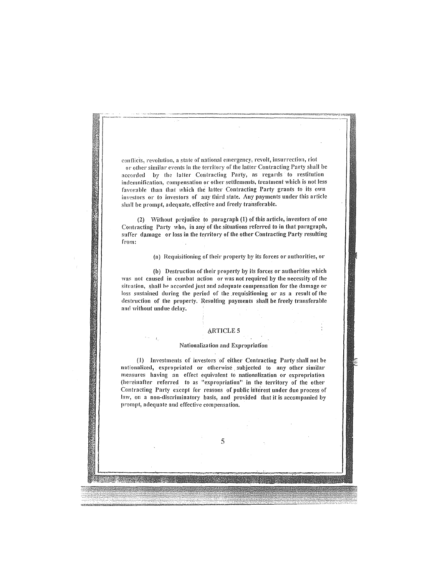conflicts, revolution, a state of national emergency, revolt, insurrection, riot or other similar events in the territory of the latter Contracting Party shall be accorded by the latter Contracting Party, as regards to restitution indemnification, compensation or other settlements, treatment which is not less favorable than that which the latter Contracting Party grants to its own investors or to investors of any third state. Any payments under this article shall be prompt, adequate, effective and freely transferable.

(2) Without prejudice to paragraph (1) of this article, investors of one Contracting Party who, in any of the situations referred to in that paragraph, suffer damage or loss in the territory of the other Contracting Party resulting from:

(a) Requisitioning of their property by its forces or authorities, or

(b) Destruction of their property by its forces or authorities which was not caused in combat action or was not required by the necessity of the situation, shall be accorded just and adequate compensation for the damage or loss sustained during the period of the requisitioning or as a result of the destruction of the property. Resulting payments shall be freely transferable and without undue delay.

#### **ARTICLE 5**

#### Nationalization and Expropriation

 $\pm$ 

(1) Investments of investors of either Contracting Party shall not be nn tionalized, expropriated or otherwise, subjected to any other similar measures having an effect equivalent to nationalization or expropriation (hereinafter referred to as "expropriation" in the territory of the other Contracting Party except for reasons of public interest under due process of law, on a non-discriminatory basis, and provided that it is accompanied by prompt, adequate and effective compensation.

5

 $\overline{\phantom{a}}$  ,  $\overline{\phantom{a}}$  ,  $\overline{\phantom{a}}$  ,  $\overline{\phantom{a}}$  ,  $\overline{\phantom{a}}$  ,  $\overline{\phantom{a}}$  ,  $\overline{\phantom{a}}$  ,  $\overline{\phantom{a}}$  ,  $\overline{\phantom{a}}$  ,  $\overline{\phantom{a}}$  ,  $\overline{\phantom{a}}$  ,  $\overline{\phantom{a}}$  ,  $\overline{\phantom{a}}$  ,  $\overline{\phantom{a}}$  ,  $\overline{\phantom{a}}$  ,  $\overline{\phantom{a}}$ 

i<br>i<br>i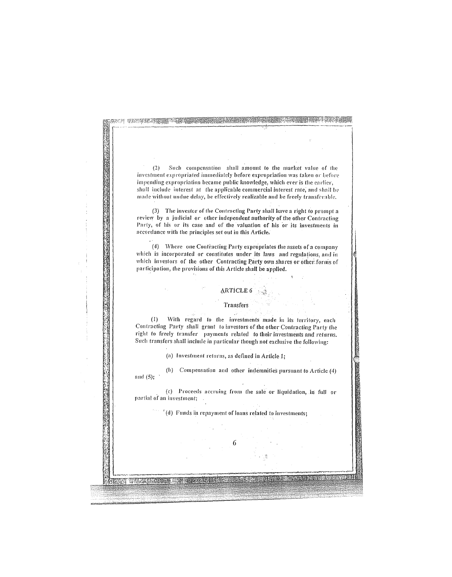Such compensation shall amount to the market value of the  $(2)$ investment expropriated immediately before expropriation was taken or before impending expropriation became public knowledge, which ever is the earlier. shall include interest at the applicable commercial interest rate, and shall be made without undue delay, be effectively realizable and be freely transferable.

第六章 中國的交通基督管理學 网络海绵属 医血管炎 医血管炎 医血管炎 医血管炎 医血管炎 医血管炎 医血管炎

(3) The investor of the Contracting Party shall have a right to prompt a review by a judicial or other independent authority of the other Contracting Party, of his or its case and of the valuation of his or its investments in accordance with the principles set out in this Article.

(4) Where one Contracting Party expropriates the assets of a company which is incorporated or constitutes under its laws and regulations, and in which investors of the other Contracting Party own shares or other forms of participation, the provisions of this Article shall be applied.

## ARTICLE 6

**State State** 

#### **Transfers**

(1) With regard to the investments made in its territory, each Contracting Party shall grant to investors of the other Contracting Party the right to freely transfer payments related to their investments and returns. Such transfers shall include in particular though not exclusive the following:

(a) Investment returns, as defined in Article 1;

(b) Compensation and other indemnities pursuant to Article (4) and  $(5)$ ;

 $\bar{r}$ 

(c) Proceeds accruing from the sale or liquidation, in full or partial of an investment;

(d) Funds in repayment of loans related to investments;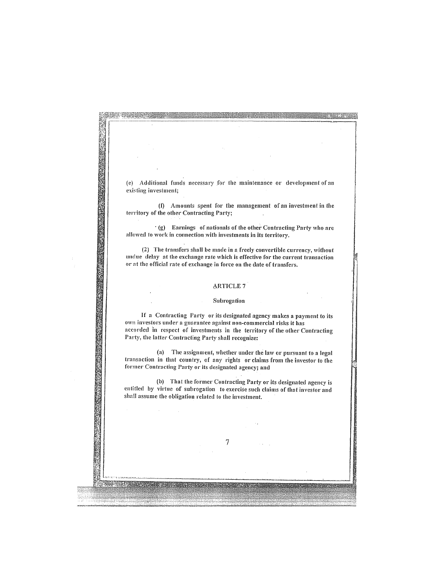(e) Additional funds necessary for the maintenance or development of an existing investment;

网络外科特别的新闻的小说的。<br>1989年,我们的小说的"我们的人",我们的小说,我们的小说,我们的小说,我们的小说,我们的小说,我们的小说,我们的小说,我们的小说,我们的小说,我们的小说,我们

(f) Amounts spent for the management of an investment in the territory of the other Contracting Party;  $\lambda$ 

 $(g)$  Earnings of nationals of the other Contracting Party who are allowed to work in connection with investments in its territory.

(2) The transfers shall be made in a freely convertible currency, without undue delay at the exchange rate which is effective for the current transaction or at the official rate of exchange in force on the date of transfers.

#### **ARTICLE 7**

NAN PERSONAL PROPERTY

#### Subrogation

If a Contracting Party or its designated agency makes a payment to its own investors under a guarantee against non-commercial risks it has accorded 'in respect oif investments **in** the territory of the otlier Contracting Party, the latter Contracting Party shall recognize:

(a) The assignment, whether under the law or pursuant to a legal transaction in that country, of any rights or claims from the investor to the former Contracting Party or its designated agency; and

(b) That the former Contracting Party or its designated agency is entitled by virtue of subrogation to exercise such claims of that investor and shall assume the obligation related to the investment.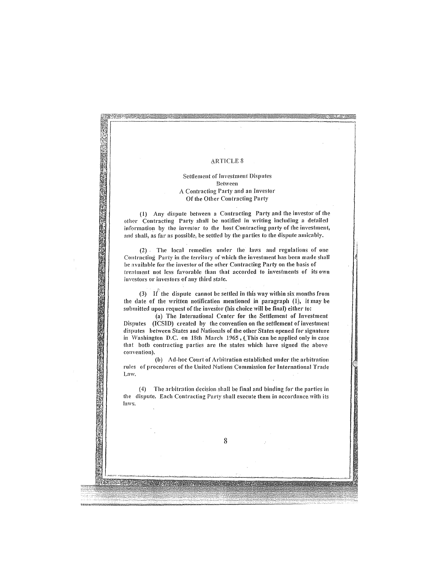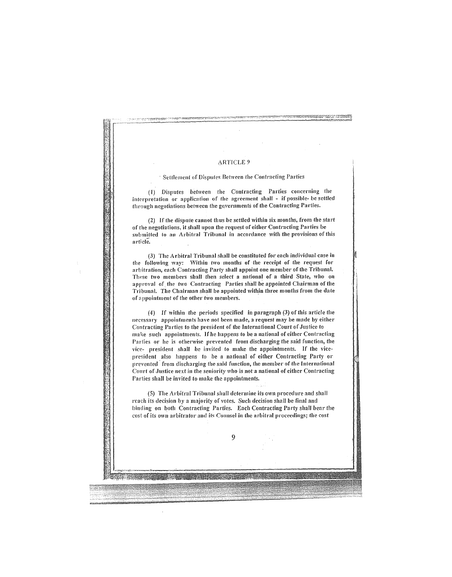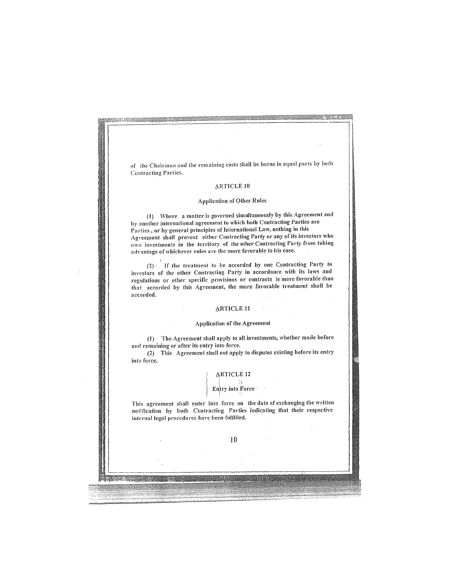of the Chairman and the remaining costs shall be borne in equal parts by both Contracting Parties,

#### **ARTICLE 10**

### Application of Other Rules

(I) Where a matter is governed simultaneously by this Agreement and by another international agreement to which both Contracting Parties are Parties, or by general principles of International Law, nothing in this Agreement shall prevent either Contracting Party or any of its investors who own investments in the territory of the other Contracting Party from taking advantage of whichever rules are the more favorable to his case.

(2), If the treatment to be accorded by one Contracting Party to investors of the other Contracting Party in accordance with its laws and regulations or other specific provisions or contracts is more favorable than that accorded by this Agreement, the more favorable treatment shall be accorded.

#### **ARTICLE 11**

#### Application of the Agreement

(1) The Agreement shall apply to all investments, whether made before and remaining or after its entry into force.

(2) This Agreement shall not apply to disputes existing before its entry into force.

## **ARTICLE 12**

 $i$  ;  $i$ Entry into Force  $\frac{1}{2}$ 

This agreement shall enter into force on the date of exchanging the written notification by both Contracting Parties indicating that their respective internal legal procedures have been fulfilled.